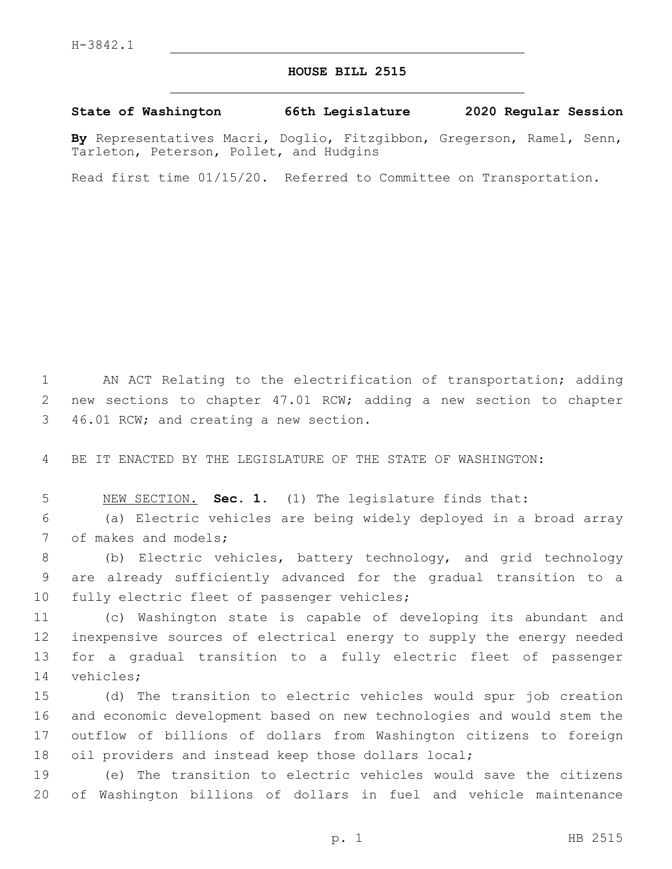## **HOUSE BILL 2515**

## **State of Washington 66th Legislature 2020 Regular Session**

**By** Representatives Macri, Doglio, Fitzgibbon, Gregerson, Ramel, Senn, Tarleton, Peterson, Pollet, and Hudgins

Read first time 01/15/20. Referred to Committee on Transportation.

1 AN ACT Relating to the electrification of transportation; adding 2 new sections to chapter 47.01 RCW; adding a new section to chapter 46.01 RCW; and creating a new section.3

4 BE IT ENACTED BY THE LEGISLATURE OF THE STATE OF WASHINGTON:

5 NEW SECTION. **Sec. 1.** (1) The legislature finds that:

6 (a) Electric vehicles are being widely deployed in a broad array 7 of makes and models;

8 (b) Electric vehicles, battery technology, and grid technology 9 are already sufficiently advanced for the gradual transition to a 10 fully electric fleet of passenger vehicles;

 (c) Washington state is capable of developing its abundant and inexpensive sources of electrical energy to supply the energy needed for a gradual transition to a fully electric fleet of passenger 14 vehicles;

 (d) The transition to electric vehicles would spur job creation and economic development based on new technologies and would stem the outflow of billions of dollars from Washington citizens to foreign oil providers and instead keep those dollars local;

19 (e) The transition to electric vehicles would save the citizens 20 of Washington billions of dollars in fuel and vehicle maintenance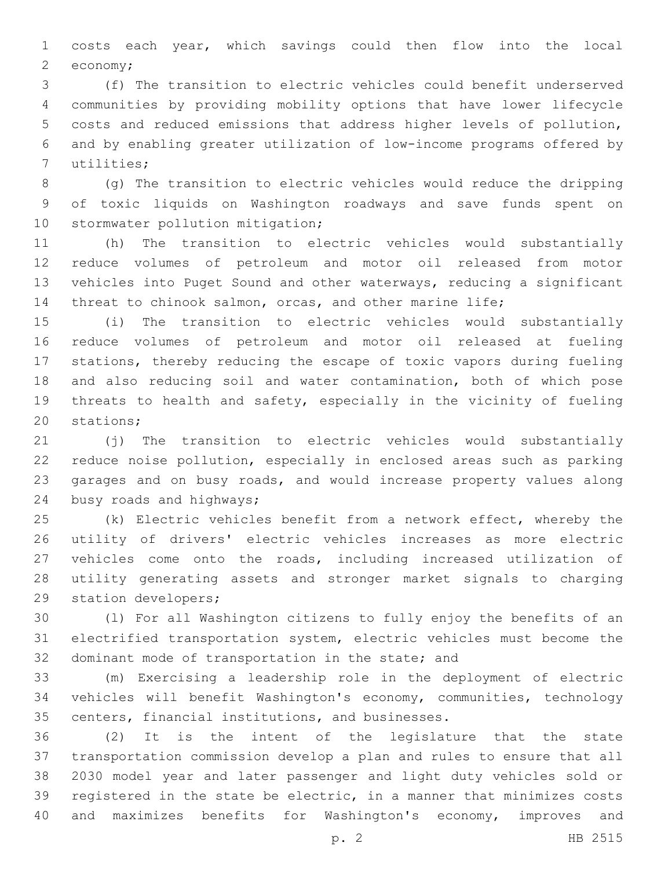costs each year, which savings could then flow into the local 2 economy;

 (f) The transition to electric vehicles could benefit underserved communities by providing mobility options that have lower lifecycle costs and reduced emissions that address higher levels of pollution, and by enabling greater utilization of low-income programs offered by 7 utilities;

 (g) The transition to electric vehicles would reduce the dripping of toxic liquids on Washington roadways and save funds spent on 10 stormwater pollution mitigation;

 (h) The transition to electric vehicles would substantially reduce volumes of petroleum and motor oil released from motor vehicles into Puget Sound and other waterways, reducing a significant threat to chinook salmon, orcas, and other marine life;

 (i) The transition to electric vehicles would substantially reduce volumes of petroleum and motor oil released at fueling stations, thereby reducing the escape of toxic vapors during fueling and also reducing soil and water contamination, both of which pose threats to health and safety, especially in the vicinity of fueling 20 stations;

 (j) The transition to electric vehicles would substantially reduce noise pollution, especially in enclosed areas such as parking garages and on busy roads, and would increase property values along 24 busy roads and highways;

 (k) Electric vehicles benefit from a network effect, whereby the utility of drivers' electric vehicles increases as more electric vehicles come onto the roads, including increased utilization of utility generating assets and stronger market signals to charging 29 station developers;

 (l) For all Washington citizens to fully enjoy the benefits of an electrified transportation system, electric vehicles must become the 32 dominant mode of transportation in the state; and

 (m) Exercising a leadership role in the deployment of electric vehicles will benefit Washington's economy, communities, technology 35 centers, financial institutions, and businesses.

 (2) It is the intent of the legislature that the state transportation commission develop a plan and rules to ensure that all 2030 model year and later passenger and light duty vehicles sold or registered in the state be electric, in a manner that minimizes costs and maximizes benefits for Washington's economy, improves and

p. 2 HB 2515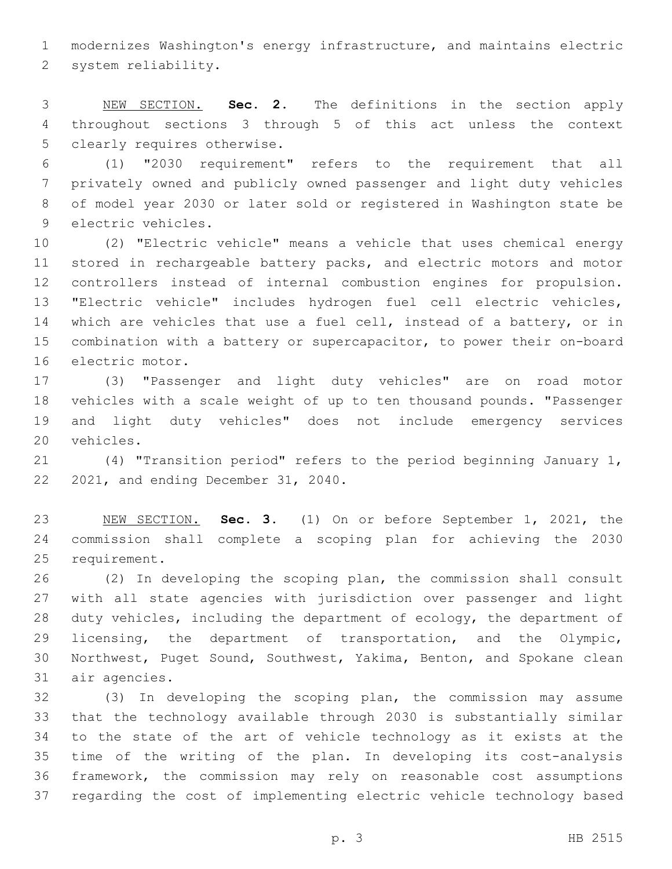modernizes Washington's energy infrastructure, and maintains electric 2 system reliability.

 NEW SECTION. **Sec. 2.** The definitions in the section apply throughout sections 3 through 5 of this act unless the context clearly requires otherwise.

 (1) "2030 requirement" refers to the requirement that all privately owned and publicly owned passenger and light duty vehicles of model year 2030 or later sold or registered in Washington state be 9 electric vehicles.

 (2) "Electric vehicle" means a vehicle that uses chemical energy stored in rechargeable battery packs, and electric motors and motor controllers instead of internal combustion engines for propulsion. "Electric vehicle" includes hydrogen fuel cell electric vehicles, which are vehicles that use a fuel cell, instead of a battery, or in combination with a battery or supercapacitor, to power their on-board 16 electric motor.

 (3) "Passenger and light duty vehicles" are on road motor vehicles with a scale weight of up to ten thousand pounds. "Passenger and light duty vehicles" does not include emergency services 20 vehicles.

 (4) "Transition period" refers to the period beginning January 1, 22 2021, and ending December 31, 2040.

 NEW SECTION. **Sec. 3.** (1) On or before September 1, 2021, the commission shall complete a scoping plan for achieving the 2030 requirement.

 (2) In developing the scoping plan, the commission shall consult with all state agencies with jurisdiction over passenger and light duty vehicles, including the department of ecology, the department of licensing, the department of transportation, and the Olympic, Northwest, Puget Sound, Southwest, Yakima, Benton, and Spokane clean 31 air agencies.

 (3) In developing the scoping plan, the commission may assume that the technology available through 2030 is substantially similar to the state of the art of vehicle technology as it exists at the time of the writing of the plan. In developing its cost-analysis framework, the commission may rely on reasonable cost assumptions regarding the cost of implementing electric vehicle technology based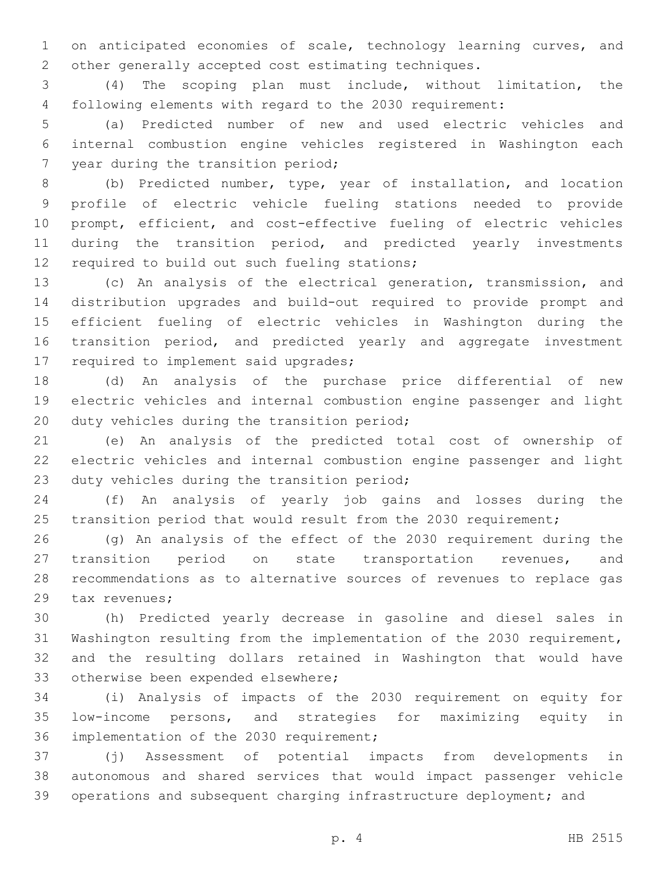on anticipated economies of scale, technology learning curves, and other generally accepted cost estimating techniques.

 (4) The scoping plan must include, without limitation, the following elements with regard to the 2030 requirement:

 (a) Predicted number of new and used electric vehicles and internal combustion engine vehicles registered in Washington each 7 year during the transition period;

 (b) Predicted number, type, year of installation, and location profile of electric vehicle fueling stations needed to provide prompt, efficient, and cost-effective fueling of electric vehicles during the transition period, and predicted yearly investments 12 required to build out such fueling stations;

 (c) An analysis of the electrical generation, transmission, and distribution upgrades and build-out required to provide prompt and efficient fueling of electric vehicles in Washington during the transition period, and predicted yearly and aggregate investment 17 required to implement said upgrades;

 (d) An analysis of the purchase price differential of new electric vehicles and internal combustion engine passenger and light 20 duty vehicles during the transition period;

 (e) An analysis of the predicted total cost of ownership of electric vehicles and internal combustion engine passenger and light 23 duty vehicles during the transition period;

 (f) An analysis of yearly job gains and losses during the transition period that would result from the 2030 requirement;

 (g) An analysis of the effect of the 2030 requirement during the transition period on state transportation revenues, and recommendations as to alternative sources of revenues to replace gas 29 tax revenues;

 (h) Predicted yearly decrease in gasoline and diesel sales in Washington resulting from the implementation of the 2030 requirement, and the resulting dollars retained in Washington that would have 33 otherwise been expended elsewhere;

 (i) Analysis of impacts of the 2030 requirement on equity for low-income persons, and strategies for maximizing equity in 36 implementation of the 2030 requirement;

 (j) Assessment of potential impacts from developments in autonomous and shared services that would impact passenger vehicle operations and subsequent charging infrastructure deployment; and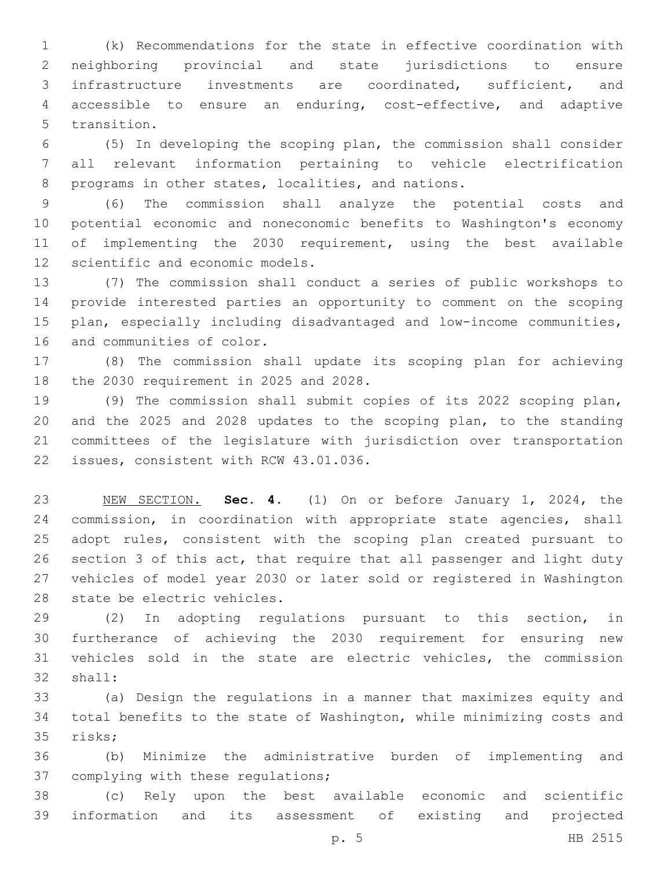(k) Recommendations for the state in effective coordination with neighboring provincial and state jurisdictions to ensure infrastructure investments are coordinated, sufficient, and accessible to ensure an enduring, cost-effective, and adaptive 5 transition.

 (5) In developing the scoping plan, the commission shall consider all relevant information pertaining to vehicle electrification 8 programs in other states, localities, and nations.

 (6) The commission shall analyze the potential costs and potential economic and noneconomic benefits to Washington's economy of implementing the 2030 requirement, using the best available 12 scientific and economic models.

 (7) The commission shall conduct a series of public workshops to provide interested parties an opportunity to comment on the scoping plan, especially including disadvantaged and low-income communities, 16 and communities of color.

 (8) The commission shall update its scoping plan for achieving 18 the 2030 requirement in 2025 and 2028.

 (9) The commission shall submit copies of its 2022 scoping plan, and the 2025 and 2028 updates to the scoping plan, to the standing committees of the legislature with jurisdiction over transportation 22 issues, consistent with RCW 43.01.036.

 NEW SECTION. **Sec. 4.** (1) On or before January 1, 2024, the commission, in coordination with appropriate state agencies, shall adopt rules, consistent with the scoping plan created pursuant to section 3 of this act, that require that all passenger and light duty vehicles of model year 2030 or later sold or registered in Washington state be electric vehicles.

 (2) In adopting regulations pursuant to this section, in furtherance of achieving the 2030 requirement for ensuring new vehicles sold in the state are electric vehicles, the commission 32 shall:

 (a) Design the regulations in a manner that maximizes equity and total benefits to the state of Washington, while minimizing costs and 35 risks;

 (b) Minimize the administrative burden of implementing and 37 complying with these regulations;

 (c) Rely upon the best available economic and scientific information and its assessment of existing and projected

p. 5 HB 2515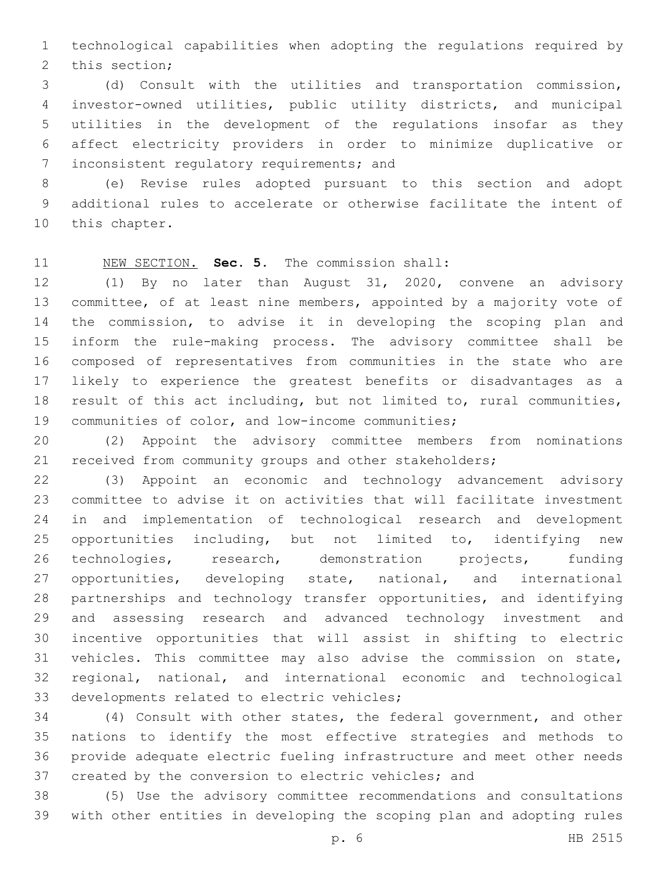technological capabilities when adopting the regulations required by 2 this section;

 (d) Consult with the utilities and transportation commission, investor-owned utilities, public utility districts, and municipal utilities in the development of the regulations insofar as they affect electricity providers in order to minimize duplicative or 7 inconsistent regulatory requirements; and

 (e) Revise rules adopted pursuant to this section and adopt additional rules to accelerate or otherwise facilitate the intent of 10 this chapter.

NEW SECTION. **Sec. 5.** The commission shall:

 (1) By no later than August 31, 2020, convene an advisory committee, of at least nine members, appointed by a majority vote of the commission, to advise it in developing the scoping plan and inform the rule-making process. The advisory committee shall be composed of representatives from communities in the state who are likely to experience the greatest benefits or disadvantages as a result of this act including, but not limited to, rural communities, 19 communities of color, and low-income communities;

 (2) Appoint the advisory committee members from nominations received from community groups and other stakeholders;

 (3) Appoint an economic and technology advancement advisory committee to advise it on activities that will facilitate investment in and implementation of technological research and development opportunities including, but not limited to, identifying new technologies, research, demonstration projects, funding 27 opportunities, developing state, national, and international partnerships and technology transfer opportunities, and identifying and assessing research and advanced technology investment and incentive opportunities that will assist in shifting to electric vehicles. This committee may also advise the commission on state, regional, national, and international economic and technological 33 developments related to electric vehicles;

 (4) Consult with other states, the federal government, and other nations to identify the most effective strategies and methods to provide adequate electric fueling infrastructure and meet other needs created by the conversion to electric vehicles; and

 (5) Use the advisory committee recommendations and consultations with other entities in developing the scoping plan and adopting rules

p. 6 HB 2515